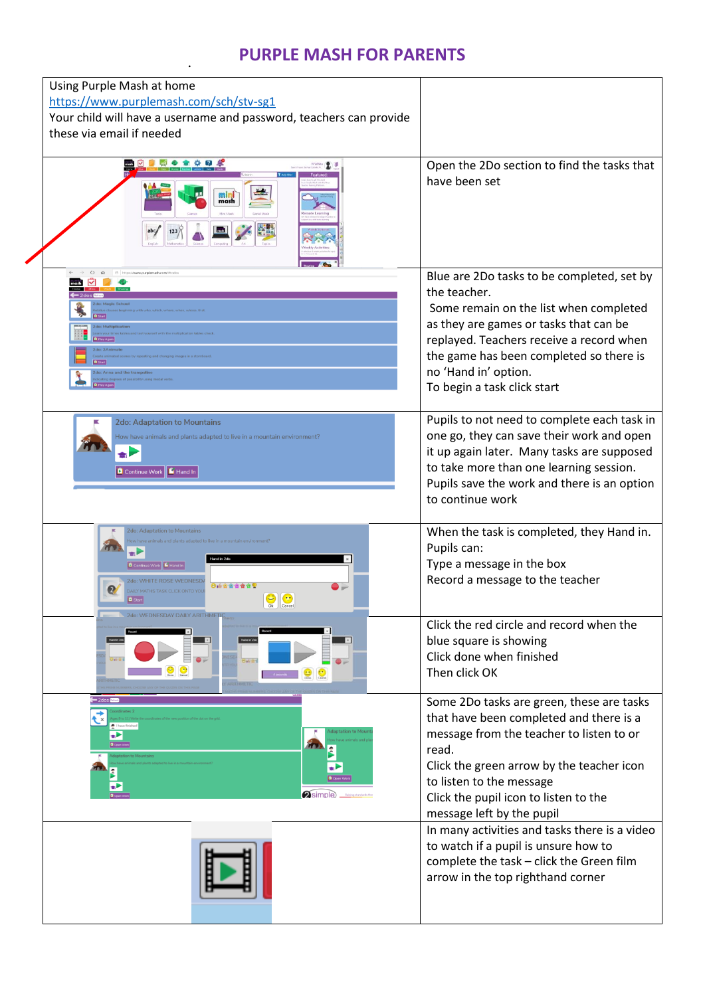## **PURPLE MASH FOR PARENTS**

| Using Purple Mash at home<br>https://www.purplemash.com/sch/stv-sg1<br>Your child will have a username and password, teachers can provide<br>these via email if needed                       |                                                                                                                                                                                                                                                                                              |
|----------------------------------------------------------------------------------------------------------------------------------------------------------------------------------------------|----------------------------------------------------------------------------------------------------------------------------------------------------------------------------------------------------------------------------------------------------------------------------------------------|
| $\bullet$ $\bullet$<br>min<br>mash                                                                                                                                                           | Open the 2Do section to find the tasks that<br>have been set                                                                                                                                                                                                                                 |
| $\circ$<br>A https://www.purplemash.com/#tod<br>$\widehat{\omega}$<br>na and the trams                                                                                                       | Blue are 2Do tasks to be completed, set by<br>the teacher.<br>Some remain on the list when completed<br>as they are games or tasks that can be<br>replayed. Teachers receive a record when<br>the game has been completed so there is<br>no 'Hand in' option.<br>To begin a task click start |
| <b>2do: Adaptation to Mountains</b><br>How have animals and plants adapted to live in a mountain environment?<br>$\bullet$<br>Continue Work   F Hand In                                      | Pupils to not need to complete each task in<br>one go, they can save their work and open<br>it up again later. Many tasks are supposed<br>to take more than one learning session.<br>Pupils save the work and there is an option<br>to continue work                                         |
| 2do: Adaptation to Mountains<br>Hand in 2de<br>Continue Work E Hand In<br>2do: WHITE ROSE WEDNESDA<br>◎直會會會會會<br>DAILY MATHS TASK CLICK ONTO YOU<br>$\bullet$<br><b>B</b> Start<br>Ok Cancel | When the task is completed, they Hand in.<br>Pupils can:<br>Type a message in the box<br>Record a message to the teacher                                                                                                                                                                     |
| $\mathbb{R}^n$<br>Hand in 2d<br>E                                                                                                                                                            | Click the red circle and record when the<br>blue square is showing<br>Click done when finished<br>Then click OK                                                                                                                                                                              |
| $= 2$ dos<br>ざ<br>÷<br><b>2</b> simple                                                                                                                                                       | Some 2Do tasks are green, these are tasks<br>that have been completed and there is a<br>message from the teacher to listen to or<br>read.<br>Click the green arrow by the teacher icon<br>to listen to the message<br>Click the pupil icon to listen to the<br>message left by the pupil     |
|                                                                                                                                                                                              | In many activities and tasks there is a video<br>to watch if a pupil is unsure how to<br>complete the task - click the Green film<br>arrow in the top righthand corner                                                                                                                       |